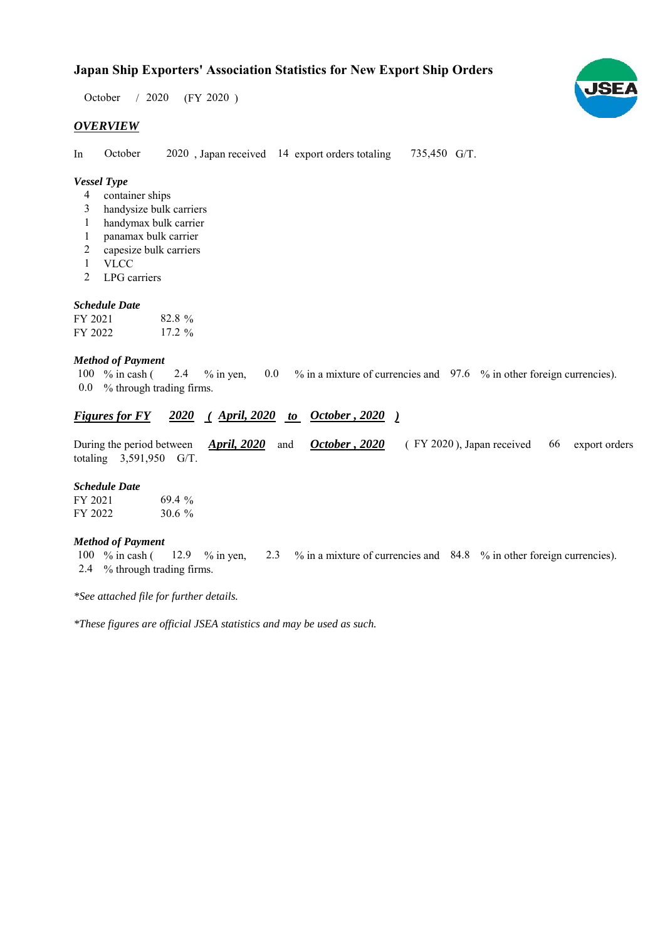# **Japan Ship Exporters' Association Statistics for New Export Ship Orders**

 $/ 2020$  (FY 2020) October / 2020

# *OVERVIEW*

In October 2020, Japan received 14 export orders totaling 735,450 G/T. October

# *Vessel Type*

- container ships 4
- handysize bulk carriers 3
- handymax bulk carrier 1
- panamax bulk carrier 1
- capesize bulk carriers 2
- VLCC 1
- LPG carriers 2

#### *Schedule Date*

| FY 2021 | 82.8%     |
|---------|-----------|
| FY 2022 | $17.2 \%$ |

#### *Method of Payment*

% in cash ( $\ 2.4\$  % in yen,  $\ 0.0\$  % in a mixture of currencies and  $\ 97.6\$  % in other foreign currencies). % through trading firms. 0.0 100 % in cash (

## *Figures for FY* 2020 (April, 2020 to October, 2020)

During the period between *April, 2020* and *October, 2020* (FY 2020), Japan received 66 export orders totaling  $3,591,950$  G/T. *October , 2020 April, 2020* 66 export orders

#### *Schedule Date*

| FY 2021 | $69.4\%$  |
|---------|-----------|
| FY 2022 | 30.6 $\%$ |

#### *Method of Payment*

% in cash ( $\frac{12.9}{8}$  % in yen,  $\frac{2.3}{8}$  % in a mixture of currencies and  $\frac{84.8}{8}$  % in other foreign currencies). % through trading firms. 2.4 100 % in cash ( 12.9 % in yen,

*\*See attached file for further details.*

*\*These figures are official JSEA statistics and may be used as such.*

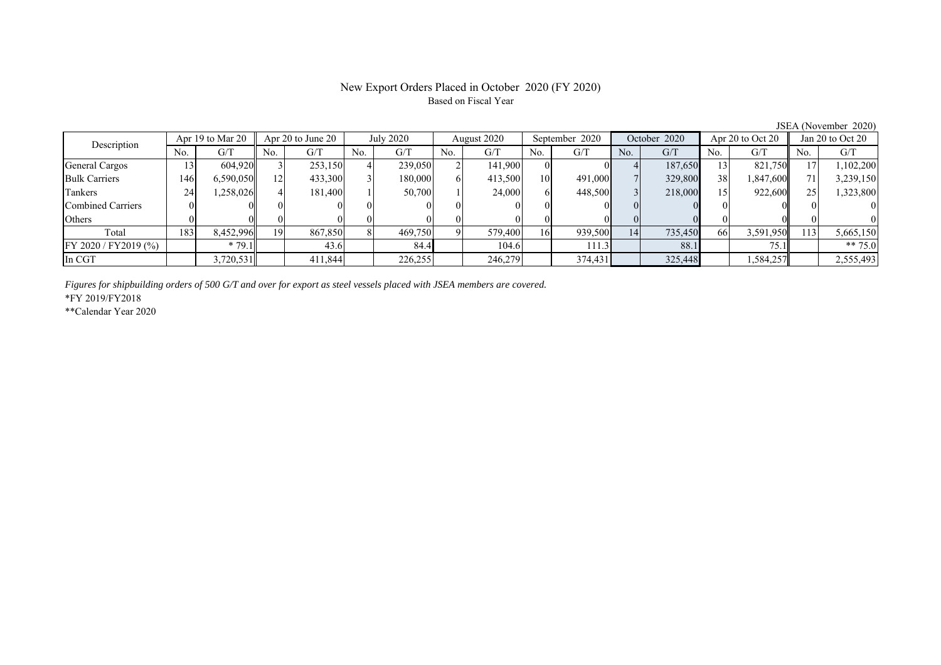# New Export Orders Placed in October 2020 (FY 2020) Based on Fiscal Year

JSEA (November 2020)

| Description             | Apr 19 to Mar 20 |           | Apr $20$ to June $20$ |         | July 2020 |         | August 2020 |          | September 2020  |         | October 2020 |         | Apr $20$ to Oct $20$ |           | Jan 20 to Oct 20 |           |
|-------------------------|------------------|-----------|-----------------------|---------|-----------|---------|-------------|----------|-----------------|---------|--------------|---------|----------------------|-----------|------------------|-----------|
|                         | No.              | G/T       | No.                   | G/T     | No.       | G/T     | No.         | G/T      | No.             | G/T     | No.          | G/T     | No.                  | G/T       | No.              | G/T       |
| General Cargos          |                  | 604.920   |                       | 253,150 |           | 239,050 |             | 141,900  |                 |         |              | 187,650 | 13                   | 821,750   |                  | 1,102,200 |
| <b>Bulk Carriers</b>    | 146              | 6,590,050 | 12                    | 433,300 |           | 180,000 |             | 413,500  | 10 <sup>1</sup> | 491,000 |              | 329,800 | 38                   | 1,847,600 |                  | 3,239,150 |
| Tankers                 | 24               | ,258,026  |                       | 181,400 |           | 50,700  |             | 24,000   |                 | 448,500 |              | 218,000 | 15                   | 922,600   |                  | 1,323,800 |
| Combined Carriers       |                  |           |                       |         |           |         |             |          |                 |         |              |         |                      |           |                  |           |
| Others                  |                  |           |                       |         |           |         |             | $\Omega$ |                 |         |              |         |                      |           |                  |           |
| Total                   | 183              | 8,452,996 | 19                    | 867,850 |           | 469,750 |             | 579,400  | 16 <sup>1</sup> | 939,500 | 14           | 735,450 | <b>66</b>            | 3,591,950 | 113              | 5,665,150 |
| $FY 2020 / FY 2019$ (%) |                  | $*79.1$   |                       | 43.6    |           | 84.4    |             | 104.6    |                 | 111.3   |              | 88.1    |                      | 75.1      |                  | ** $75.0$ |
| In CGT                  |                  | 3,720,531 |                       | 411,844 |           | 226,255 |             | 246,279  |                 | 374,431 |              | 325,448 |                      | 1,584,257 |                  | 2,555,493 |

*Figures for shipbuilding orders of 500 G/T and over for export as steel vessels placed with JSEA members are covered.*

\*FY 2019/FY2018

\*\*Calendar Year 2020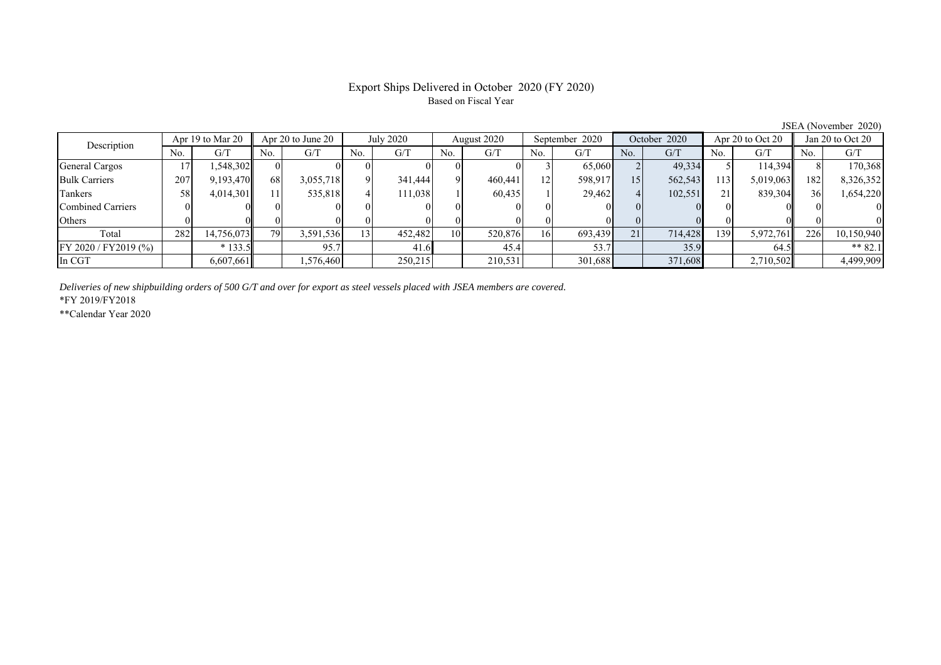## Export Ships Delivered in October 2020 (FY 2020) Based on Fiscal Year

No. G/T No. G/T No. G/T No. G/T No. G/T No. G/T No. G/T No. G/T General Cargos | 17 | 1,548,302 || 0 | 0 | 0 | 0 | 0 | 0 | 0 | 0 | 0 | 13 | 65,060 | 2 | 49,334 5 | 114,394 || 8 | 1 Bulk Carriers 207 9,193,470 68 3,055,718 9 341,444 9 460,441 12 598,917 15 562,543 113 5,019,063 182 8,326,352 Tankers | 58| 4,014,301|| 11| 535,818| 4| 111,038| 1| 60,435| 1| 29,462| 4| 102,551| 21| 839,304|| 36| 1,654,220 Combined Carriers 0 0 0 0 0 0 0 0 0 0 0 0 0 0 0 0 Others 0 0 0 0 0 0 0 0 0 0 0 0 0 0 0 0 Total 282 14,756,073 79 3,591,536 13 452,482 10 520,876 16 693,439 21 714,428 139 5,972,761 226 10,150,940 FY 2020 / FY2019 (%) \* 133.5 95.7 41.6 45.4 53.7 35.9 64.5 \*\* 82.1 In CGT | | 6,607,661 | | 1,576,460 | | 250,215 | | 210,531 | | 301,688 | | 371,608 | | 2,710,502 || | 4,499,909 Description Apr 19 to Mar 20 Apr 20 to June 20 July 2020 August 2020 September 2020 October 2020 Apr 20 to Oct 20 Jan 20 to Oct 20

*Deliveries of new shipbuilding orders of 500 G/T and over for export as steel vessels placed with JSEA members are covered.*

\*FY 2019/FY2018

\*\*Calendar Year 2020

JSEA (November 2020)